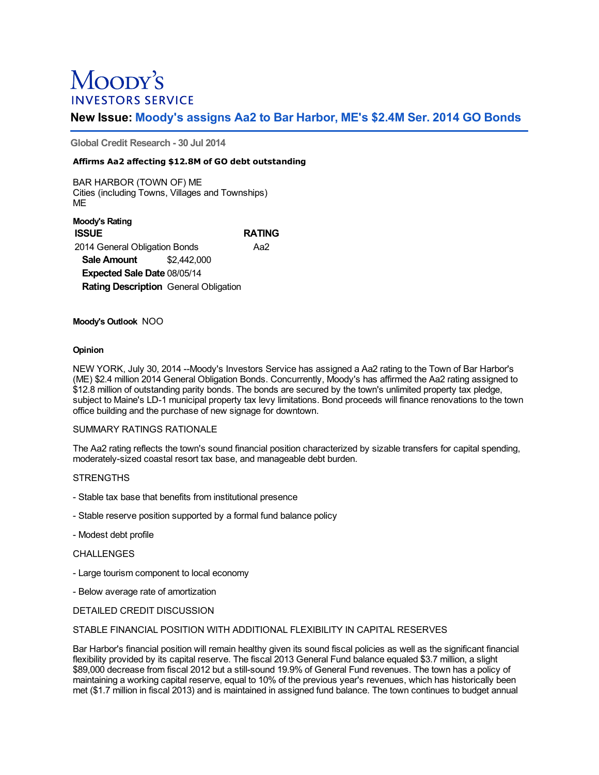# Moopy's **INVESTORS SERVICE**

# **New Issue: Moody's assigns Aa2 to Bar Harbor, ME's \$2.4M Ser. 2014 GO Bonds**

**Global Credit Research - 30 Jul 2014**

### **Affirms Aa2 affecting \$12.8M of GO debt outstanding**

BAR HARBOR (TOWN OF) ME Cities (including Towns, Villages and Townships) ME

**Moody's Rating ISSUE RATING** 2014 General Obligation Bonds Aa2 **Sale Amount** \$2,442,000 **Expected Sale Date** 08/05/14 **Rating Description** General Obligation

#### **Moody's Outlook** NOO

#### **Opinion**

NEW YORK, July 30, 2014 --Moody's Investors Service has assigned a Aa2 rating to the Town of Bar Harbor's (ME) \$2.4 million 2014 General Obligation Bonds. Concurrently, Moody's has affirmed the Aa2 rating assigned to \$12.8 million of outstanding parity bonds. The bonds are secured by the town's unlimited property tax pledge, subject to Maine's LD-1 municipal property tax levy limitations. Bond proceeds will finance renovations to the town office building and the purchase of new signage for downtown.

#### SUMMARY RATINGS RATIONALE

The Aa2 rating reflects the town's sound financial position characterized by sizable transfers for capital spending, moderately-sized coastal resort tax base, and manageable debt burden.

#### **STRENGTHS**

- Stable tax base that benefits from institutional presence
- Stable reserve position supported by a formal fund balance policy
- Modest debt profile

# CHALLENGES

- Large tourism component to local economy
- Below average rate of amortization

#### DETAILED CREDIT DISCUSSION

### STABLE FINANCIAL POSITION WITH ADDITIONAL FLEXIBILITY IN CAPITAL RESERVES

Bar Harbor's financial position will remain healthy given its sound fiscal policies as well as the significant financial flexibility provided by its capital reserve. The fiscal 2013 General Fund balance equaled \$3.7 million, a slight \$89,000 decrease from fiscal 2012 but a still-sound 19.9% of General Fund revenues. The town has a policy of maintaining a working capital reserve, equal to 10% of the previous year's revenues, which has historically been met (\$1.7 million in fiscal 2013) and is maintained in assigned fund balance. The town continues to budget annual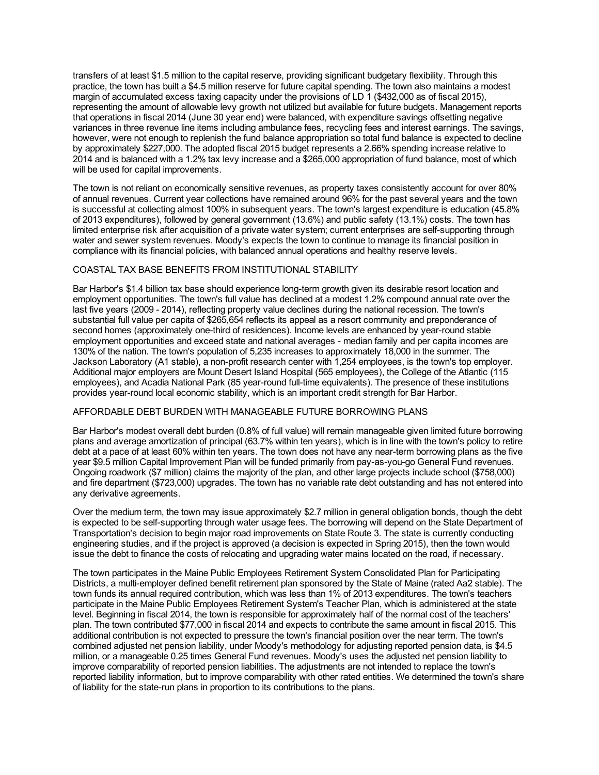transfers of at least \$1.5 million to the capital reserve, providing significant budgetary flexibility. Through this practice, the town has built a \$4.5 million reserve for future capital spending. The town also maintains a modest margin of accumulated excess taxing capacity under the provisions of LD 1 (\$432,000 as of fiscal 2015), representing the amount of allowable levy growth not utilized but available for future budgets. Management reports that operations in fiscal 2014 (June 30 year end) were balanced, with expenditure savings offsetting negative variances in three revenue line items including ambulance fees, recycling fees and interest earnings. The savings, however, were not enough to replenish the fund balance appropriation so total fund balance is expected to decline by approximately \$227,000. The adopted fiscal 2015 budget represents a 2.66% spending increase relative to 2014 and is balanced with a 1.2% tax levy increase and a \$265,000 appropriation of fund balance, most of which will be used for capital improvements.

The town is not reliant on economically sensitive revenues, as property taxes consistently account for over 80% of annual revenues. Current year collections have remained around 96% for the past several years and the town is successful at collecting almost 100% in subsequent years. The town's largest expenditure is education (45.8% of 2013 expenditures), followed by general government (13.6%) and public safety (13.1%) costs. The town has limited enterprise risk after acquisition of a private water system; current enterprises are self-supporting through water and sewer system revenues. Moody's expects the town to continue to manage its financial position in compliance with its financial policies, with balanced annual operations and healthy reserve levels.

# COASTAL TAX BASE BENEFITS FROM INSTITUTIONAL STABILITY

Bar Harbor's \$1.4 billion tax base should experience long-term growth given its desirable resort location and employment opportunities. The town's full value has declined at a modest 1.2% compound annual rate over the last five years (2009 - 2014), reflecting property value declines during the national recession. The town's substantial full value per capita of \$265,654 reflects its appeal as a resort community and preponderance of second homes (approximately one-third of residences). Income levels are enhanced by year-round stable employment opportunities and exceed state and national averages - median family and per capita incomes are 130% of the nation. The town's population of 5,235 increases to approximately 18,000 in the summer. The Jackson Laboratory (A1 stable), a non-profit research center with 1,254 employees, is the town's top employer. Additional major employers are Mount Desert Island Hospital (565 employees), the College of the Atlantic (115 employees), and Acadia National Park (85 year-round full-time equivalents). The presence of these institutions provides year-round local economic stability, which is an important credit strength for Bar Harbor.

#### AFFORDABLE DEBT BURDEN WITH MANAGEABLE FUTURE BORROWING PLANS

Bar Harbor's modest overall debt burden (0.8% of full value) will remain manageable given limited future borrowing plans and average amortization of principal (63.7% within ten years), which is in line with the town's policy to retire debt at a pace of at least 60% within ten years. The town does not have any near-term borrowing plans as the five year \$9.5 million Capital Improvement Plan will be funded primarily from pay-as-you-go General Fund revenues. Ongoing roadwork (\$7 million) claims the majority of the plan, and other large projects include school (\$758,000) and fire department (\$723,000) upgrades. The town has no variable rate debt outstanding and has not entered into any derivative agreements.

Over the medium term, the town may issue approximately \$2.7 million in general obligation bonds, though the debt is expected to be self-supporting through water usage fees. The borrowing will depend on the State Department of Transportation's decision to begin major road improvements on State Route 3. The state is currently conducting engineering studies, and if the project is approved (a decision is expected in Spring 2015), then the town would issue the debt to finance the costs of relocating and upgrading water mains located on the road, if necessary.

The town participates in the Maine Public Employees Retirement System Consolidated Plan for Participating Districts, a multi-employer defined benefit retirement plan sponsored by the State of Maine (rated Aa2 stable). The town funds its annual required contribution, which was less than 1% of 2013 expenditures. The town's teachers participate in the Maine Public Employees Retirement System's Teacher Plan, which is administered at the state level. Beginning in fiscal 2014, the town is responsible for approximately half of the normal cost of the teachers' plan. The town contributed \$77,000 in fiscal 2014 and expects to contribute the same amount in fiscal 2015. This additional contribution is not expected to pressure the town's financial position over the near term. The town's combined adjusted net pension liability, under Moody's methodology for adjusting reported pension data, is \$4.5 million, or a manageable 0.25 times General Fund revenues. Moody's uses the adjusted net pension liability to improve comparability of reported pension liabilities. The adjustments are not intended to replace the town's reported liability information, but to improve comparability with other rated entities. We determined the town's share of liability for the state-run plans in proportion to its contributions to the plans.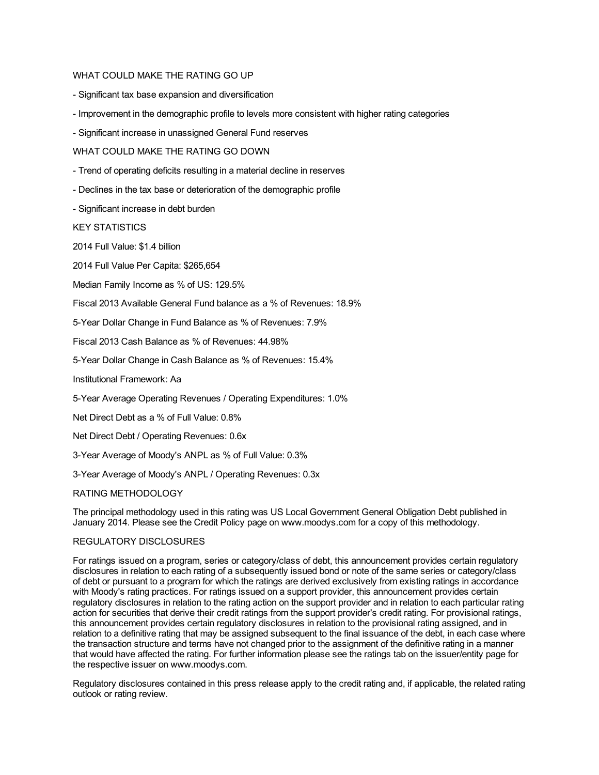#### WHAT COULD MAKE THE RATING GO UP

- Significant tax base expansion and diversification
- Improvement in the demographic profile to levels more consistent with higher rating categories
- Significant increase in unassigned General Fund reserves

WHAT COULD MAKE THE RATING GO DOWN

- Trend of operating deficits resulting in a material decline in reserves
- Declines in the tax base or deterioration of the demographic profile
- Significant increase in debt burden

KEY STATISTICS

2014 Full Value: \$1.4 billion

2014 Full Value Per Capita: \$265,654

Median Family Income as % of US: 129.5%

Fiscal 2013 Available General Fund balance as a % of Revenues: 18.9%

5-Year Dollar Change in Fund Balance as % of Revenues: 7.9%

Fiscal 2013 Cash Balance as % of Revenues: 44.98%

5-Year Dollar Change in Cash Balance as % of Revenues: 15.4%

Institutional Framework: Aa

5-Year Average Operating Revenues / Operating Expenditures: 1.0%

Net Direct Debt as a % of Full Value: 0.8%

Net Direct Debt / Operating Revenues: 0.6x

3-Year Average of Moody's ANPL as % of Full Value: 0.3%

3-Year Average of Moody's ANPL / Operating Revenues: 0.3x

#### RATING METHODOLOGY

The principal methodology used in this rating was US Local Government General Obligation Debt published in January 2014. Please see the Credit Policy page on www.moodys.com for a copy of this methodology.

#### REGULATORY DISCLOSURES

For ratings issued on a program, series or category/class of debt, this announcement provides certain regulatory disclosures in relation to each rating of a subsequently issued bond or note of the same series or category/class of debt or pursuant to a program for which the ratings are derived exclusively from existing ratings in accordance with Moody's rating practices. For ratings issued on a support provider, this announcement provides certain regulatory disclosures in relation to the rating action on the support provider and in relation to each particular rating action for securities that derive their credit ratings from the support provider's credit rating. For provisional ratings, this announcement provides certain regulatory disclosures in relation to the provisional rating assigned, and in relation to a definitive rating that may be assigned subsequent to the final issuance of the debt, in each case where the transaction structure and terms have not changed prior to the assignment of the definitive rating in a manner that would have affected the rating. For further information please see the ratings tab on the issuer/entity page for the respective issuer on www.moodys.com.

Regulatory disclosures contained in this press release apply to the credit rating and, if applicable, the related rating outlook or rating review.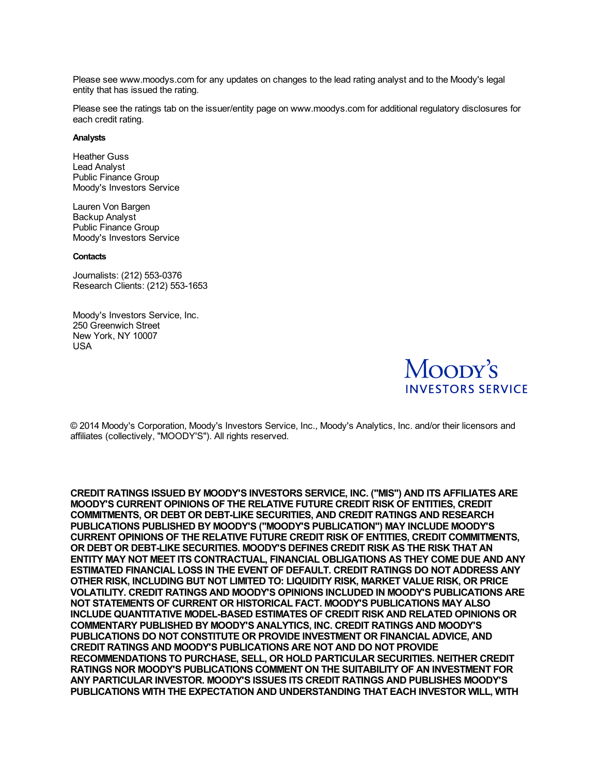Please see www.moodys.com for any updates on changes to the lead rating analyst and to the Moody's legal entity that has issued the rating.

Please see the ratings tab on the issuer/entity page on www.moodys.com for additional regulatory disclosures for each credit rating.

#### **Analysts**

Heather Guss Lead Analyst Public Finance Group Moody's Investors Service

Lauren Von Bargen Backup Analyst Public Finance Group Moody's Investors Service

#### **Contacts**

Journalists: (212) 553-0376 Research Clients: (212) 553-1653

Moody's Investors Service, Inc. 250 Greenwich Street New York, NY 10007 USA



© 2014 Moody's Corporation, Moody's Investors Service, Inc., Moody's Analytics, Inc. and/or their licensors and affiliates (collectively, "MOODY'S"). All rights reserved.

**CREDIT RATINGS ISSUED BY MOODY'S INVESTORS SERVICE, INC. ("MIS") AND ITS AFFILIATES ARE MOODY'S CURRENT OPINIONS OF THE RELATIVE FUTURE CREDIT RISK OF ENTITIES, CREDIT COMMITMENTS, OR DEBT OR DEBT-LIKE SECURITIES, AND CREDIT RATINGS AND RESEARCH PUBLICATIONS PUBLISHED BY MOODY'S ("MOODY'S PUBLICATION") MAY INCLUDE MOODY'S CURRENT OPINIONS OF THE RELATIVE FUTURE CREDIT RISK OF ENTITIES, CREDIT COMMITMENTS, OR DEBT OR DEBT-LIKE SECURITIES. MOODY'S DEFINES CREDIT RISK AS THE RISK THAT AN ENTITY MAY NOT MEET ITS CONTRACTUAL, FINANCIAL OBLIGATIONS AS THEY COME DUE AND ANY ESTIMATED FINANCIAL LOSS IN THE EVENT OF DEFAULT. CREDIT RATINGS DO NOT ADDRESS ANY OTHER RISK, INCLUDING BUT NOT LIMITED TO: LIQUIDITY RISK, MARKET VALUE RISK, OR PRICE VOLATILITY. CREDIT RATINGS AND MOODY'S OPINIONS INCLUDED IN MOODY'S PUBLICATIONS ARE NOT STATEMENTS OF CURRENT OR HISTORICAL FACT. MOODY'S PUBLICATIONS MAY ALSO INCLUDE QUANTITATIVE MODEL-BASED ESTIMATES OF CREDIT RISK AND RELATED OPINIONS OR COMMENTARY PUBLISHED BY MOODY'S ANALYTICS, INC. CREDIT RATINGS AND MOODY'S PUBLICATIONS DO NOT CONSTITUTE OR PROVIDE INVESTMENT OR FINANCIAL ADVICE, AND CREDIT RATINGS AND MOODY'S PUBLICATIONS ARE NOT AND DO NOT PROVIDE RECOMMENDATIONS TO PURCHASE, SELL, OR HOLD PARTICULAR SECURITIES. NEITHER CREDIT RATINGS NOR MOODY'S PUBLICATIONS COMMENT ON THE SUITABILITY OF AN INVESTMENT FOR ANY PARTICULAR INVESTOR. MOODY'S ISSUES ITS CREDIT RATINGS AND PUBLISHES MOODY'S PUBLICATIONS WITH THE EXPECTATION AND UNDERSTANDING THAT EACH INVESTOR WILL, WITH**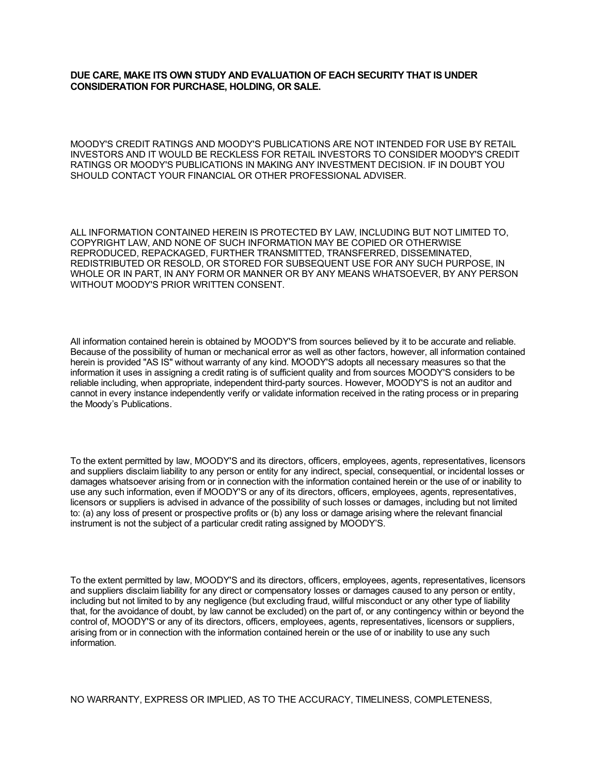# **DUE CARE, MAKE ITS OWN STUDY AND EVALUATION OF EACH SECURITY THAT IS UNDER CONSIDERATION FOR PURCHASE, HOLDING, OR SALE.**

MOODY'S CREDIT RATINGS AND MOODY'S PUBLICATIONS ARE NOT INTENDED FOR USE BY RETAIL INVESTORS AND IT WOULD BE RECKLESS FOR RETAIL INVESTORS TO CONSIDER MOODY'S CREDIT RATINGS OR MOODY'S PUBLICATIONS IN MAKING ANY INVESTMENT DECISION. IF IN DOUBT YOU SHOULD CONTACT YOUR FINANCIAL OR OTHER PROFESSIONAL ADVISER.

ALL INFORMATION CONTAINED HEREIN IS PROTECTED BY LAW, INCLUDING BUT NOT LIMITED TO, COPYRIGHT LAW, AND NONE OF SUCH INFORMATION MAY BE COPIED OR OTHERWISE REPRODUCED, REPACKAGED, FURTHER TRANSMITTED, TRANSFERRED, DISSEMINATED, REDISTRIBUTED OR RESOLD, OR STORED FOR SUBSEQUENT USE FOR ANY SUCH PURPOSE, IN WHOLE OR IN PART, IN ANY FORM OR MANNER OR BY ANY MEANS WHATSOEVER, BY ANY PERSON WITHOUT MOODY'S PRIOR WRITTEN CONSENT.

All information contained herein is obtained by MOODY'S from sources believed by it to be accurate and reliable. Because of the possibility of human or mechanical error as well as other factors, however, all information contained herein is provided "AS IS" without warranty of any kind. MOODY'S adopts all necessary measures so that the information it uses in assigning a credit rating is of sufficient quality and from sources MOODY'S considers to be reliable including, when appropriate, independent third-party sources. However, MOODY'S is not an auditor and cannot in every instance independently verify or validate information received in the rating process or in preparing the Moody's Publications.

To the extent permitted by law, MOODY'S and its directors, officers, employees, agents, representatives, licensors and suppliers disclaim liability to any person or entity for any indirect, special, consequential, or incidental losses or damages whatsoever arising from or in connection with the information contained herein or the use of or inability to use any such information, even if MOODY'S or any of its directors, officers, employees, agents, representatives, licensors or suppliers is advised in advance of the possibility of such losses or damages, including but not limited to: (a) any loss of present or prospective profits or (b) any loss or damage arising where the relevant financial instrument is not the subject of a particular credit rating assigned by MOODY'S.

To the extent permitted by law, MOODY'S and its directors, officers, employees, agents, representatives, licensors and suppliers disclaim liability for any direct or compensatory losses or damages caused to any person or entity, including but not limited to by any negligence (but excluding fraud, willful misconduct or any other type of liability that, for the avoidance of doubt, by law cannot be excluded) on the part of, or any contingency within or beyond the control of, MOODY'S or any of its directors, officers, employees, agents, representatives, licensors or suppliers, arising from or in connection with the information contained herein or the use of or inability to use any such information.

NO WARRANTY, EXPRESS OR IMPLIED, AS TO THE ACCURACY, TIMELINESS, COMPLETENESS,